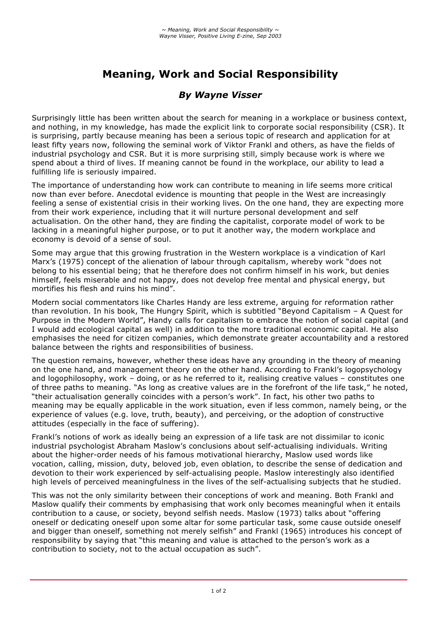# **Meaning, Work and Social Responsibility**

## *By Wayne Visser*

Surprisingly little has been written about the search for meaning in a workplace or business context, and nothing, in my knowledge, has made the explicit link to corporate social responsibility (CSR). It is surprising, partly because meaning has been a serious topic of research and application for at least fifty years now, following the seminal work of Viktor Frankl and others, as have the fields of industrial psychology and CSR. But it is more surprising still, simply because work is where we spend about a third of lives. If meaning cannot be found in the workplace, our ability to lead a fulfilling life is seriously impaired.

The importance of understanding how work can contribute to meaning in life seems more critical now than ever before. Anecdotal evidence is mounting that people in the West are increasingly feeling a sense of existential crisis in their working lives. On the one hand, they are expecting more from their work experience, including that it will nurture personal development and self actualisation. On the other hand, they are finding the capitalist, corporate model of work to be lacking in a meaningful higher purpose, or to put it another way, the modern workplace and economy is devoid of a sense of soul.

Some may argue that this growing frustration in the Western workplace is a vindication of Karl Marx's (1975) concept of the alienation of labour through capitalism, whereby work "does not belong to his essential being; that he therefore does not confirm himself in his work, but denies himself, feels miserable and not happy, does not develop free mental and physical energy, but mortifies his flesh and ruins his mind".

Modern social commentators like Charles Handy are less extreme, arguing for reformation rather than revolution. In his book, The Hungry Spirit, which is subtitled "Beyond Capitalism – A Quest for Purpose in the Modern World", Handy calls for capitalism to embrace the notion of social capital (and I would add ecological capital as well) in addition to the more traditional economic capital. He also emphasises the need for citizen companies, which demonstrate greater accountability and a restored balance between the rights and responsibilities of business.

The question remains, however, whether these ideas have any grounding in the theory of meaning on the one hand, and management theory on the other hand. According to Frankl's logopsychology and logophilosophy, work – doing, or as he referred to it, realising creative values – constitutes one of three paths to meaning. "As long as creative values are in the forefront of the life task," he noted, "their actualisation generally coincides with a person's work". In fact, his other two paths to meaning may be equally applicable in the work situation, even if less common, namely being, or the experience of values (e.g. love, truth, beauty), and perceiving, or the adoption of constructive attitudes (especially in the face of suffering).

Frankl's notions of work as ideally being an expression of a life task are not dissimilar to iconic industrial psychologist Abraham Maslow's conclusions about self-actualising individuals. Writing about the higher-order needs of his famous motivational hierarchy, Maslow used words like vocation, calling, mission, duty, beloved job, even oblation, to describe the sense of dedication and devotion to their work experienced by self-actualising people. Maslow interestingly also identified high levels of perceived meaningfulness in the lives of the self-actualising subjects that he studied.

This was not the only similarity between their conceptions of work and meaning. Both Frankl and Maslow qualify their comments by emphasising that work only becomes meaningful when it entails contribution to a cause, or society, beyond selfish needs. Maslow (1973) talks about "offering oneself or dedicating oneself upon some altar for some particular task, some cause outside oneself and bigger than oneself, something not merely selfish" and Frankl (1965) introduces his concept of responsibility by saying that "this meaning and value is attached to the person's work as a contribution to society, not to the actual occupation as such".